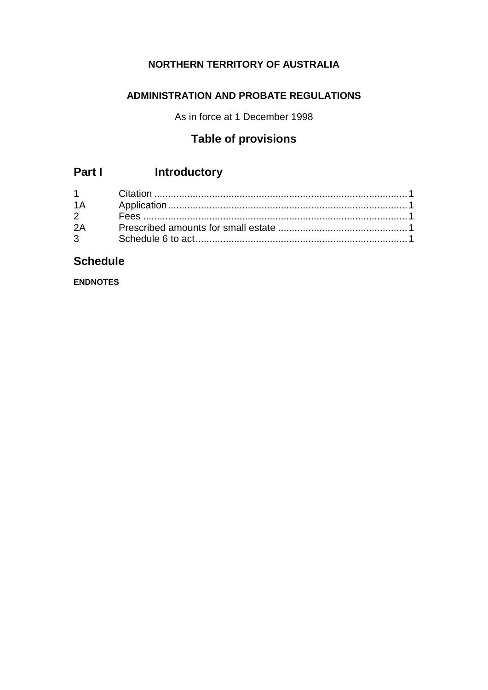### **NORTHERN TERRITORY OF AUSTRALIA**

### **ADMINISTRATION AND PROBATE REGULATIONS**

As in force at 1 December 1998

## **Table of provisions**

# **Part I Introductory**

| $2^{\sim}$ |  |
|------------|--|
| 2A         |  |
|            |  |

### **Schedule**

**ENDNOTES**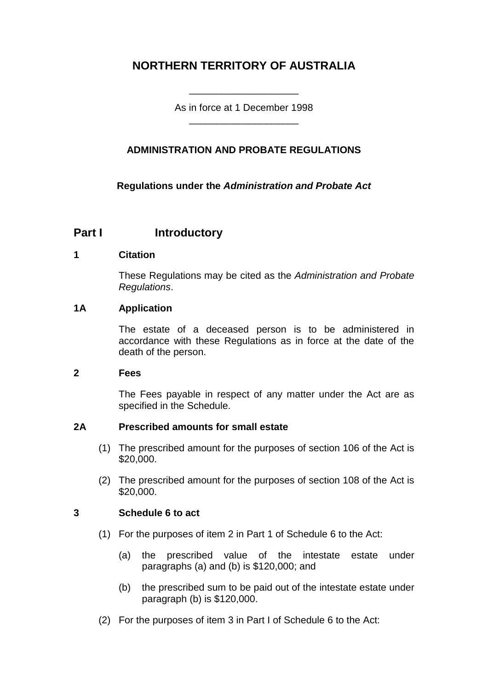### **NORTHERN TERRITORY OF AUSTRALIA**

As in force at 1 December 1998 \_\_\_\_\_\_\_\_\_\_\_\_\_\_\_\_\_\_\_\_

\_\_\_\_\_\_\_\_\_\_\_\_\_\_\_\_\_\_\_\_

#### **ADMINISTRATION AND PROBATE REGULATIONS**

#### **Regulations under the** *Administration and Probate Act*

### **Part I Introductory**

#### **1 Citation**

These Regulations may be cited as the *Administration and Probate Regulations*.

#### **1A Application**

The estate of a deceased person is to be administered in accordance with these Regulations as in force at the date of the death of the person.

#### **2 Fees**

The Fees payable in respect of any matter under the Act are as specified in the Schedule.

#### **2A Prescribed amounts for small estate**

- (1) The prescribed amount for the purposes of section 106 of the Act is \$20,000.
- (2) The prescribed amount for the purposes of section 108 of the Act is \$20,000.

#### **3 Schedule 6 to act**

- (1) For the purposes of item 2 in Part 1 of Schedule 6 to the Act:
	- (a) the prescribed value of the intestate estate under paragraphs (a) and (b) is \$120,000; and
	- (b) the prescribed sum to be paid out of the intestate estate under paragraph (b) is \$120,000.
- (2) For the purposes of item 3 in Part I of Schedule 6 to the Act: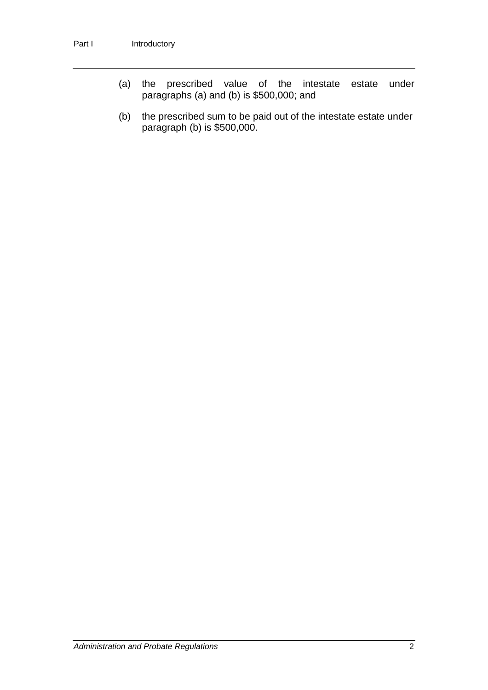- (a) the prescribed value of the intestate estate under paragraphs (a) and (b) is \$500,000; and
- (b) the prescribed sum to be paid out of the intestate estate under paragraph (b) is \$500,000.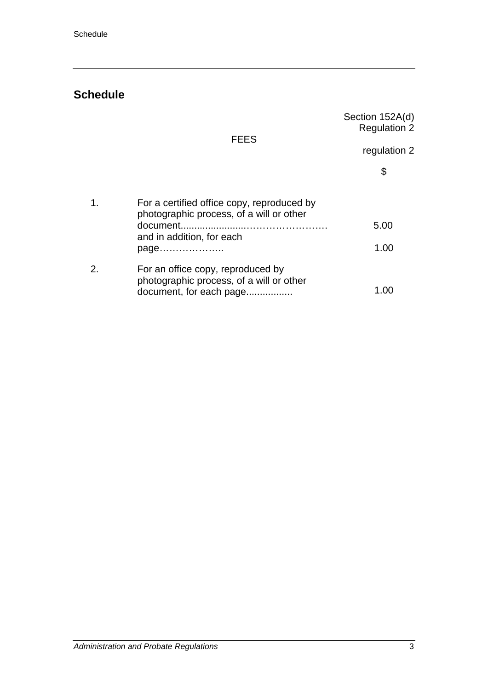## **Schedule**

| Section 152A(d)     |  |
|---------------------|--|
| <b>Regulation 2</b> |  |

#### FEES

regulation 2

\$

| $\mathbf 1$   | For a certified office copy, reproduced by<br>photographic process, of a will or other |      |
|---------------|----------------------------------------------------------------------------------------|------|
|               | and in addition, for each                                                              | 5.00 |
|               | page                                                                                   | 1.00 |
| $\mathcal{P}$ | For an office copy, reproduced by<br>photographic process, of a will or other          |      |
|               | document, for each page                                                                |      |